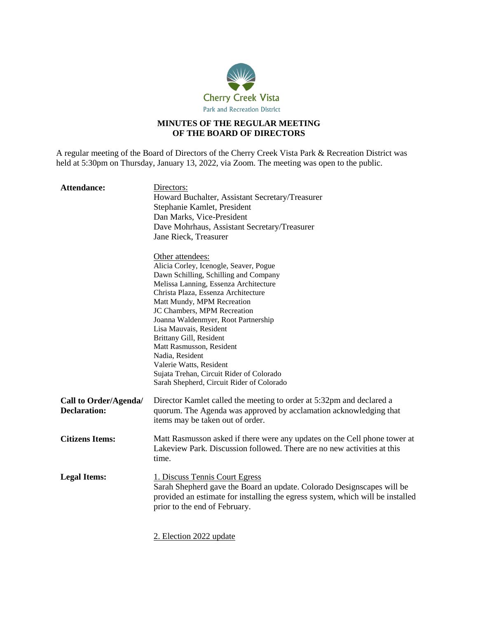

# **MINUTES OF THE REGULAR MEETING OF THE BOARD OF DIRECTORS**

A regular meeting of the Board of Directors of the Cherry Creek Vista Park & Recreation District was held at 5:30pm on Thursday, January 13, 2022, via Zoom. The meeting was open to the public.

| <b>Attendance:</b>                           | Directors:<br>Howard Buchalter, Assistant Secretary/Treasurer<br>Stephanie Kamlet, President<br>Dan Marks, Vice-President<br>Dave Mohrhaus, Assistant Secretary/Treasurer<br>Jane Rieck, Treasurer<br>Other attendees:<br>Alicia Corley, Icenogle, Seaver, Pogue<br>Dawn Schilling, Schilling and Company<br>Melissa Lanning, Essenza Architecture<br>Christa Plaza, Essenza Architecture<br>Matt Mundy, MPM Recreation<br>JC Chambers, MPM Recreation<br>Joanna Waldenmyer, Root Partnership<br>Lisa Mauvais, Resident<br>Brittany Gill, Resident<br>Matt Rasmusson, Resident<br>Nadia, Resident<br>Valerie Watts, Resident<br>Sujata Trehan, Circuit Rider of Colorado |
|----------------------------------------------|--------------------------------------------------------------------------------------------------------------------------------------------------------------------------------------------------------------------------------------------------------------------------------------------------------------------------------------------------------------------------------------------------------------------------------------------------------------------------------------------------------------------------------------------------------------------------------------------------------------------------------------------------------------------------|
| Call to Order/Agenda/<br><b>Declaration:</b> | Sarah Shepherd, Circuit Rider of Colorado<br>Director Kamlet called the meeting to order at 5:32pm and declared a<br>quorum. The Agenda was approved by acclamation acknowledging that<br>items may be taken out of order.                                                                                                                                                                                                                                                                                                                                                                                                                                               |
| <b>Citizens Items:</b>                       | Matt Rasmusson asked if there were any updates on the Cell phone tower at<br>Lakeview Park. Discussion followed. There are no new activities at this<br>time.                                                                                                                                                                                                                                                                                                                                                                                                                                                                                                            |
| <b>Legal Items:</b>                          | 1. Discuss Tennis Court Egress<br>Sarah Shepherd gave the Board an update. Colorado Designscapes will be<br>provided an estimate for installing the egress system, which will be installed<br>prior to the end of February.                                                                                                                                                                                                                                                                                                                                                                                                                                              |

2. Election 2022 update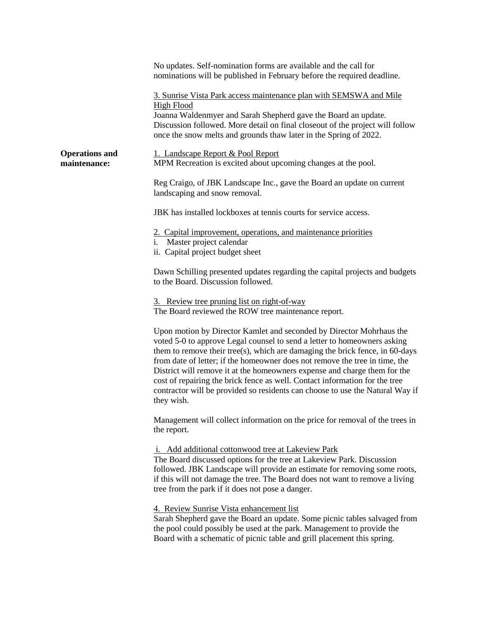|                                       | No updates. Self-nomination forms are available and the call for<br>nominations will be published in February before the required deadline.                                                                                                                                                                                                                                                                                                                                                                                                                                |
|---------------------------------------|----------------------------------------------------------------------------------------------------------------------------------------------------------------------------------------------------------------------------------------------------------------------------------------------------------------------------------------------------------------------------------------------------------------------------------------------------------------------------------------------------------------------------------------------------------------------------|
|                                       | 3. Sunrise Vista Park access maintenance plan with SEMSWA and Mile<br><b>High Flood</b><br>Joanna Waldenmyer and Sarah Shepherd gave the Board an update.<br>Discussion followed. More detail on final closeout of the project will follow<br>once the snow melts and grounds thaw later in the Spring of 2022.                                                                                                                                                                                                                                                            |
| <b>Operations and</b><br>maintenance: | 1. Landscape Report & Pool Report<br>MPM Recreation is excited about upcoming changes at the pool.                                                                                                                                                                                                                                                                                                                                                                                                                                                                         |
|                                       | Reg Craigo, of JBK Landscape Inc., gave the Board an update on current<br>landscaping and snow removal.                                                                                                                                                                                                                                                                                                                                                                                                                                                                    |
|                                       | JBK has installed lockboxes at tennis courts for service access.                                                                                                                                                                                                                                                                                                                                                                                                                                                                                                           |
|                                       | 2. Capital improvement, operations, and maintenance priorities<br>i. Master project calendar<br>ii. Capital project budget sheet                                                                                                                                                                                                                                                                                                                                                                                                                                           |
|                                       | Dawn Schilling presented updates regarding the capital projects and budgets<br>to the Board. Discussion followed.                                                                                                                                                                                                                                                                                                                                                                                                                                                          |
|                                       | 3. Review tree pruning list on right-of-way<br>The Board reviewed the ROW tree maintenance report.                                                                                                                                                                                                                                                                                                                                                                                                                                                                         |
|                                       | Upon motion by Director Kamlet and seconded by Director Mohrhaus the<br>voted 5-0 to approve Legal counsel to send a letter to homeowners asking<br>them to remove their tree(s), which are damaging the brick fence, in 60-days<br>from date of letter; if the homeowner does not remove the tree in time, the<br>District will remove it at the homeowners expense and charge them for the<br>cost of repairing the brick fence as well. Contact information for the tree<br>contractor will be provided so residents can choose to use the Natural Way if<br>they wish. |
|                                       | Management will collect information on the price for removal of the trees in<br>the report.                                                                                                                                                                                                                                                                                                                                                                                                                                                                                |
|                                       | i. Add additional cottonwood tree at Lakeview Park<br>The Board discussed options for the tree at Lakeview Park. Discussion<br>followed. JBK Landscape will provide an estimate for removing some roots,<br>if this will not damage the tree. The Board does not want to remove a living<br>tree from the park if it does not pose a danger.                                                                                                                                                                                                                               |
|                                       | 4. Review Sunrise Vista enhancement list<br>Sarah Shepherd gave the Board an update. Some picnic tables salvaged from<br>the pool could possibly be used at the park. Management to provide the<br>Board with a schematic of picnic table and grill placement this spring.                                                                                                                                                                                                                                                                                                 |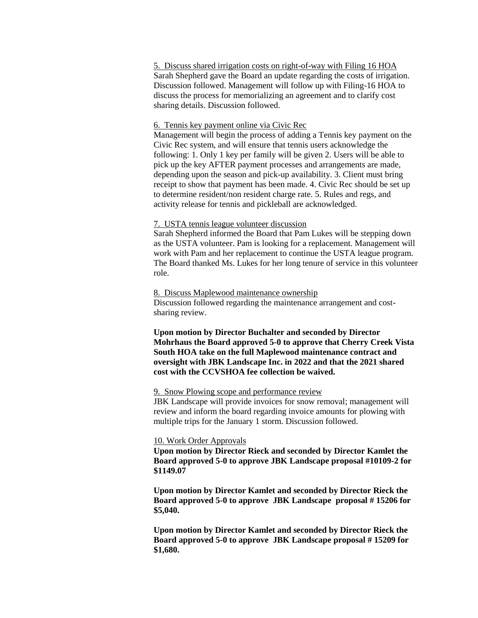5. Discuss shared irrigation costs on right-of-way with Filing 16 HOA Sarah Shepherd gave the Board an update regarding the costs of irrigation. Discussion followed. Management will follow up with Filing-16 HOA to discuss the process for memorializing an agreement and to clarify cost sharing details. Discussion followed.

## 6. Tennis key payment online via Civic Rec

Management will begin the process of adding a Tennis key payment on the Civic Rec system, and will ensure that tennis users acknowledge the following: 1. Only 1 key per family will be given 2. Users will be able to pick up the key AFTER payment processes and arrangements are made, depending upon the season and pick-up availability. 3. Client must bring receipt to show that payment has been made. 4. Civic Rec should be set up to determine resident/non resident charge rate. 5. Rules and regs, and activity release for tennis and pickleball are acknowledged.

### 7. USTA tennis league volunteer discussion

Sarah Shepherd informed the Board that Pam Lukes will be stepping down as the USTA volunteer. Pam is looking for a replacement. Management will work with Pam and her replacement to continue the USTA league program. The Board thanked Ms. Lukes for her long tenure of service in this volunteer role.

#### 8. Discuss Maplewood maintenance ownership

Discussion followed regarding the maintenance arrangement and costsharing review.

**Upon motion by Director Buchalter and seconded by Director Mohrhaus the Board approved 5-0 to approve that Cherry Creek Vista South HOA take on the full Maplewood maintenance contract and oversight with JBK Landscape Inc. in 2022 and that the 2021 shared cost with the CCVSHOA fee collection be waived.**

#### 9. Snow Plowing scope and performance review

JBK Landscape will provide invoices for snow removal; management will review and inform the board regarding invoice amounts for plowing with multiple trips for the January 1 storm. Discussion followed.

## 10. Work Order Approvals

**Upon motion by Director Rieck and seconded by Director Kamlet the Board approved 5-0 to approve JBK Landscape proposal #10109-2 for \$1149.07**

**Upon motion by Director Kamlet and seconded by Director Rieck the Board approved 5-0 to approve JBK Landscape proposal # 15206 for \$5,040.**

**Upon motion by Director Kamlet and seconded by Director Rieck the Board approved 5-0 to approve JBK Landscape proposal # 15209 for \$1,680.**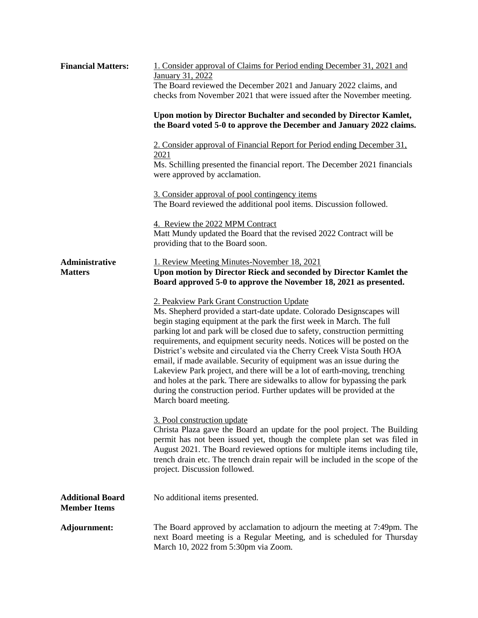| <b>Financial Matters:</b>                      | 1. Consider approval of Claims for Period ending December 31, 2021 and<br>January 31, 2022<br>The Board reviewed the December 2021 and January 2022 claims, and<br>checks from November 2021 that were issued after the November meeting.<br>Upon motion by Director Buchalter and seconded by Director Kamlet,<br>the Board voted 5-0 to approve the December and January 2022 claims.<br>2. Consider approval of Financial Report for Period ending December 31,<br>2021<br>Ms. Schilling presented the financial report. The December 2021 financials<br>were approved by acclamation.<br>3. Consider approval of pool contingency items<br>The Board reviewed the additional pool items. Discussion followed.<br>4. Review the 2022 MPM Contract<br>Matt Mundy updated the Board that the revised 2022 Contract will be                     |
|------------------------------------------------|-------------------------------------------------------------------------------------------------------------------------------------------------------------------------------------------------------------------------------------------------------------------------------------------------------------------------------------------------------------------------------------------------------------------------------------------------------------------------------------------------------------------------------------------------------------------------------------------------------------------------------------------------------------------------------------------------------------------------------------------------------------------------------------------------------------------------------------------------|
| Administrative<br><b>Matters</b>               | providing that to the Board soon.<br>1. Review Meeting Minutes-November 18, 2021<br>Upon motion by Director Rieck and seconded by Director Kamlet the                                                                                                                                                                                                                                                                                                                                                                                                                                                                                                                                                                                                                                                                                           |
|                                                | Board approved 5-0 to approve the November 18, 2021 as presented.<br>2. Peakview Park Grant Construction Update<br>Ms. Shepherd provided a start-date update. Colorado Designscapes will<br>begin staging equipment at the park the first week in March. The full<br>parking lot and park will be closed due to safety, construction permitting<br>requirements, and equipment security needs. Notices will be posted on the<br>District's website and circulated via the Cherry Creek Vista South HOA<br>email, if made available. Security of equipment was an issue during the<br>Lakeview Park project, and there will be a lot of earth-moving, trenching<br>and holes at the park. There are sidewalks to allow for bypassing the park<br>during the construction period. Further updates will be provided at the<br>March board meeting. |
|                                                | 3. Pool construction update<br>Christa Plaza gave the Board an update for the pool project. The Building<br>permit has not been issued yet, though the complete plan set was filed in<br>August 2021. The Board reviewed options for multiple items including tile,<br>trench drain etc. The trench drain repair will be included in the scope of the<br>project. Discussion followed.                                                                                                                                                                                                                                                                                                                                                                                                                                                          |
| <b>Additional Board</b><br><b>Member Items</b> | No additional items presented.                                                                                                                                                                                                                                                                                                                                                                                                                                                                                                                                                                                                                                                                                                                                                                                                                  |
| Adjournment:                                   | The Board approved by acclamation to adjourn the meeting at 7:49pm. The<br>next Board meeting is a Regular Meeting, and is scheduled for Thursday<br>March 10, 2022 from 5:30pm via Zoom.                                                                                                                                                                                                                                                                                                                                                                                                                                                                                                                                                                                                                                                       |